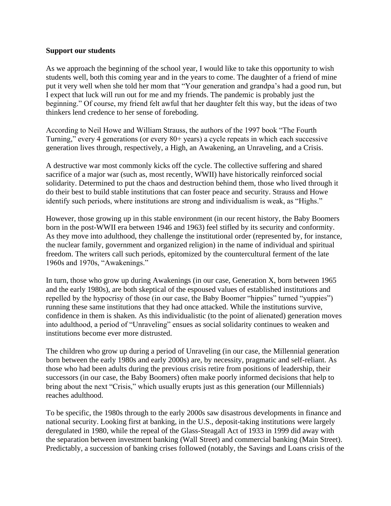## **Support our students**

As we approach the beginning of the school year, I would like to take this opportunity to wish students well, both this coming year and in the years to come. The daughter of a friend of mine put it very well when she told her mom that "Your generation and grandpa's had a good run, but I expect that luck will run out for me and my friends. The pandemic is probably just the beginning." Of course, my friend felt awful that her daughter felt this way, but the ideas of two thinkers lend credence to her sense of foreboding.

According to Neil Howe and William Strauss, the authors of the 1997 book "The Fourth Turning," every 4 generations (or every 80+ years) a cycle repeats in which each successive generation lives through, respectively, a High, an Awakening, an Unraveling, and a Crisis.

A destructive war most commonly kicks off the cycle. The collective suffering and shared sacrifice of a major war (such as, most recently, WWII) have historically reinforced social solidarity. Determined to put the chaos and destruction behind them, those who lived through it do their best to build stable institutions that can foster peace and security. Strauss and Howe identify such periods, where institutions are strong and individualism is weak, as "Highs."

However, those growing up in this stable environment (in our recent history, the Baby Boomers born in the post-WWII era between 1946 and 1963) feel stifled by its security and conformity. As they move into adulthood, they challenge the institutional order (represented by, for instance, the nuclear family, government and organized religion) in the name of individual and spiritual freedom. The writers call such periods, epitomized by the countercultural ferment of the late 1960s and 1970s, "Awakenings."

In turn, those who grow up during Awakenings (in our case, Generation X, born between 1965 and the early 1980s), are both skeptical of the espoused values of established institutions and repelled by the hypocrisy of those (in our case, the Baby Boomer "hippies" turned "yuppies") running these same institutions that they had once attacked. While the institutions survive, confidence in them is shaken. As this individualistic (to the point of alienated) generation moves into adulthood, a period of "Unraveling" ensues as social solidarity continues to weaken and institutions become ever more distrusted.

The children who grow up during a period of Unraveling (in our case, the Millennial generation born between the early 1980s and early 2000s) are, by necessity, pragmatic and self-reliant. As those who had been adults during the previous crisis retire from positions of leadership, their successors (in our case, the Baby Boomers) often make poorly informed decisions that help to bring about the next "Crisis," which usually erupts just as this generation (our Millennials) reaches adulthood.

To be specific, the 1980s through to the early 2000s saw disastrous developments in finance and national security. Looking first at banking, in the U.S., deposit-taking institutions were largely deregulated in 1980, while the repeal of the Glass-Steagall Act of 1933 in 1999 did away with the separation between investment banking (Wall Street) and commercial banking (Main Street). Predictably, a succession of banking crises followed (notably, the Savings and Loans crisis of the